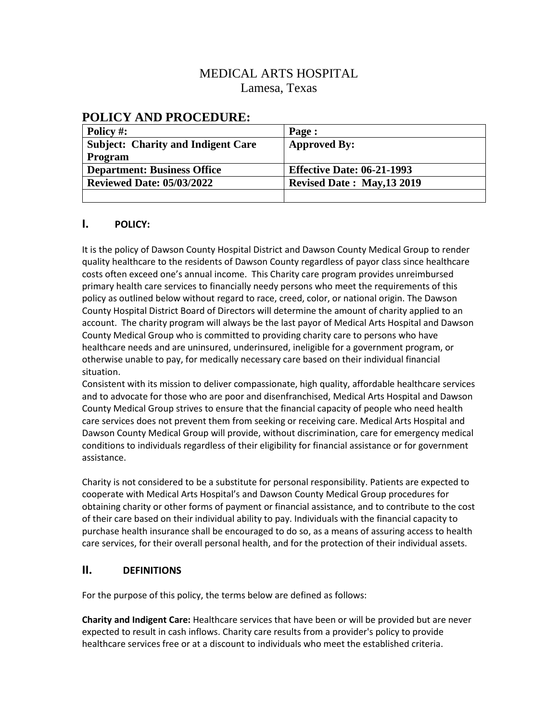# MEDICAL ARTS HOSPITAL Lamesa, Texas

## **POLICY AND PROCEDURE:**

| Policy #:                                 | Page :                            |
|-------------------------------------------|-----------------------------------|
| <b>Subject: Charity and Indigent Care</b> | <b>Approved By:</b>               |
| <b>Program</b>                            |                                   |
| <b>Department: Business Office</b>        | <b>Effective Date: 06-21-1993</b> |
| <b>Reviewed Date: 05/03/2022</b>          | <b>Revised Date: May, 13 2019</b> |
|                                           |                                   |

### **I. POLICY:**

It is the policy of Dawson County Hospital District and Dawson County Medical Group to render quality healthcare to the residents of Dawson County regardless of payor class since healthcare costs often exceed one's annual income. This Charity care program provides unreimbursed primary health care services to financially needy persons who meet the requirements of this policy as outlined below without regard to race, creed, color, or national origin. The Dawson County Hospital District Board of Directors will determine the amount of charity applied to an account. The charity program will always be the last payor of Medical Arts Hospital and Dawson County Medical Group who is committed to providing charity care to persons who have healthcare needs and are uninsured, underinsured, ineligible for a government program, or otherwise unable to pay, for medically necessary care based on their individual financial situation.

Consistent with its mission to deliver compassionate, high quality, affordable healthcare services and to advocate for those who are poor and disenfranchised, Medical Arts Hospital and Dawson County Medical Group strives to ensure that the financial capacity of people who need health care services does not prevent them from seeking or receiving care. Medical Arts Hospital and Dawson County Medical Group will provide, without discrimination, care for emergency medical conditions to individuals regardless of their eligibility for financial assistance or for government assistance.

Charity is not considered to be a substitute for personal responsibility. Patients are expected to cooperate with Medical Arts Hospital's and Dawson County Medical Group procedures for obtaining charity or other forms of payment or financial assistance, and to contribute to the cost of their care based on their individual ability to pay. Individuals with the financial capacity to purchase health insurance shall be encouraged to do so, as a means of assuring access to health care services, for their overall personal health, and for the protection of their individual assets.

#### **II. DEFINITIONS**

For the purpose of this policy, the terms below are defined as follows:

**Charity and Indigent Care:** Healthcare services that have been or will be provided but are never expected to result in cash inflows. Charity care results from a provider's policy to provide healthcare services free or at a discount to individuals who meet the established criteria.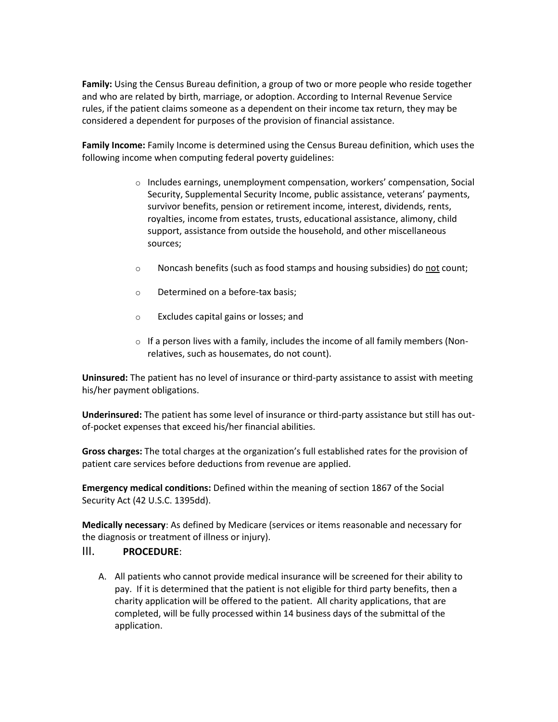**Family:** Using the Census Bureau definition, a group of two or more people who reside together and who are related by birth, marriage, or adoption. According to Internal Revenue Service rules, if the patient claims someone as a dependent on their income tax return, they may be considered a dependent for purposes of the provision of financial assistance.

**Family Income:** Family Income is determined using the Census Bureau definition, which uses the following income when computing federal poverty guidelines:

- $\circ$  Includes earnings, unemployment compensation, workers' compensation, Social Security, Supplemental Security Income, public assistance, veterans' payments, survivor benefits, pension or retirement income, interest, dividends, rents, royalties, income from estates, trusts, educational assistance, alimony, child support, assistance from outside the household, and other miscellaneous sources;
- o Noncash benefits (such as food stamps and housing subsidies) do not count;
- o Determined on a before-tax basis;
- o Excludes capital gains or losses; and
- $\circ$  If a person lives with a family, includes the income of all family members (Nonrelatives, such as housemates, do not count).

**Uninsured:** The patient has no level of insurance or third-party assistance to assist with meeting his/her payment obligations.

**Underinsured:** The patient has some level of insurance or third-party assistance but still has outof-pocket expenses that exceed his/her financial abilities.

**Gross charges:** The total charges at the organization's full established rates for the provision of patient care services before deductions from revenue are applied.

**Emergency medical conditions:** Defined within the meaning of section 1867 of the Social Security Act (42 U.S.C. 1395dd).

**Medically necessary**: As defined by Medicare (services or items reasonable and necessary for the diagnosis or treatment of illness or injury).

#### III. **PROCEDURE**:

A. All patients who cannot provide medical insurance will be screened for their ability to pay. If it is determined that the patient is not eligible for third party benefits, then a charity application will be offered to the patient. All charity applications, that are completed, will be fully processed within 14 business days of the submittal of the application.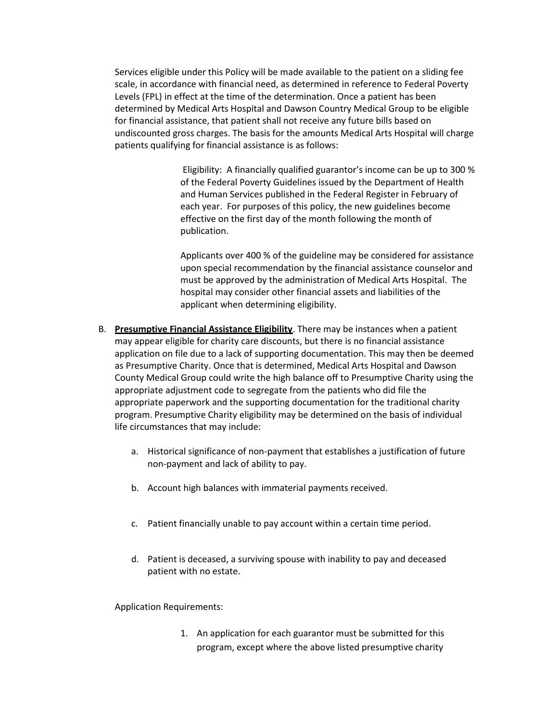Services eligible under this Policy will be made available to the patient on a sliding fee scale, in accordance with financial need, as determined in reference to Federal Poverty Levels (FPL) in effect at the time of the determination. Once a patient has been determined by Medical Arts Hospital and Dawson Country Medical Group to be eligible for financial assistance, that patient shall not receive any future bills based on undiscounted gross charges. The basis for the amounts Medical Arts Hospital will charge patients qualifying for financial assistance is as follows:

> Eligibility: A financially qualified guarantor's income can be up to 300 % of the Federal Poverty Guidelines issued by the Department of Health and Human Services published in the Federal Register in February of each year. For purposes of this policy, the new guidelines become effective on the first day of the month following the month of publication.

> Applicants over 400 % of the guideline may be considered for assistance upon special recommendation by the financial assistance counselor and must be approved by the administration of Medical Arts Hospital. The hospital may consider other financial assets and liabilities of the applicant when determining eligibility.

- B. **Presumptive Financial Assistance Eligibility**. There may be instances when a patient may appear eligible for charity care discounts, but there is no financial assistance application on file due to a lack of supporting documentation. This may then be deemed as Presumptive Charity. Once that is determined, Medical Arts Hospital and Dawson County Medical Group could write the high balance off to Presumptive Charity using the appropriate adjustment code to segregate from the patients who did file the appropriate paperwork and the supporting documentation for the traditional charity program. Presumptive Charity eligibility may be determined on the basis of individual life circumstances that may include:
	- a. Historical significance of non-payment that establishes a justification of future non-payment and lack of ability to pay.
	- b. Account high balances with immaterial payments received.
	- c. Patient financially unable to pay account within a certain time period.
	- d. Patient is deceased, a surviving spouse with inability to pay and deceased patient with no estate.

Application Requirements:

1. An application for each guarantor must be submitted for this program, except where the above listed presumptive charity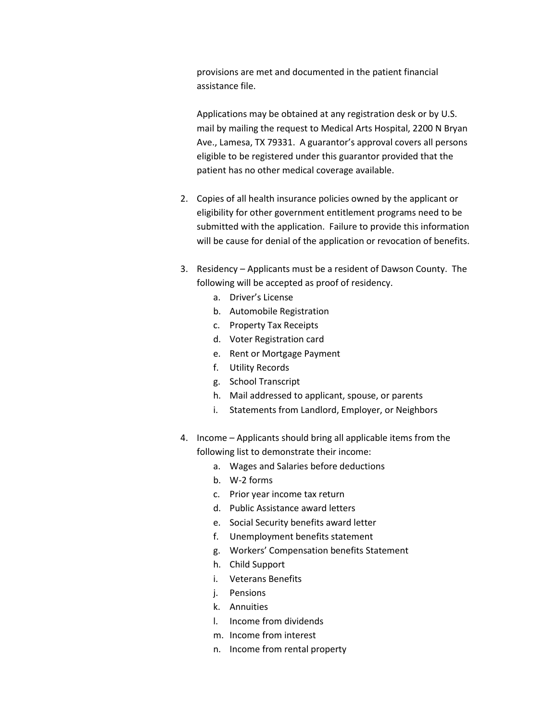provisions are met and documented in the patient financial assistance file.

Applications may be obtained at any registration desk or by U.S. mail by mailing the request to Medical Arts Hospital, 2200 N Bryan Ave., Lamesa, TX 79331. A guarantor's approval covers all persons eligible to be registered under this guarantor provided that the patient has no other medical coverage available.

- 2. Copies of all health insurance policies owned by the applicant or eligibility for other government entitlement programs need to be submitted with the application. Failure to provide this information will be cause for denial of the application or revocation of benefits.
- 3. Residency Applicants must be a resident of Dawson County. The following will be accepted as proof of residency.
	- a. Driver's License
	- b. Automobile Registration
	- c. Property Tax Receipts
	- d. Voter Registration card
	- e. Rent or Mortgage Payment
	- f. Utility Records
	- g. School Transcript
	- h. Mail addressed to applicant, spouse, or parents
	- i. Statements from Landlord, Employer, or Neighbors
- 4. Income Applicants should bring all applicable items from the following list to demonstrate their income:
	- a. Wages and Salaries before deductions
	- b. W-2 forms
	- c. Prior year income tax return
	- d. Public Assistance award letters
	- e. Social Security benefits award letter
	- f. Unemployment benefits statement
	- g. Workers' Compensation benefits Statement
	- h. Child Support
	- i. Veterans Benefits
	- j. Pensions
	- k. Annuities
	- l. Income from dividends
	- m. Income from interest
	- n. Income from rental property